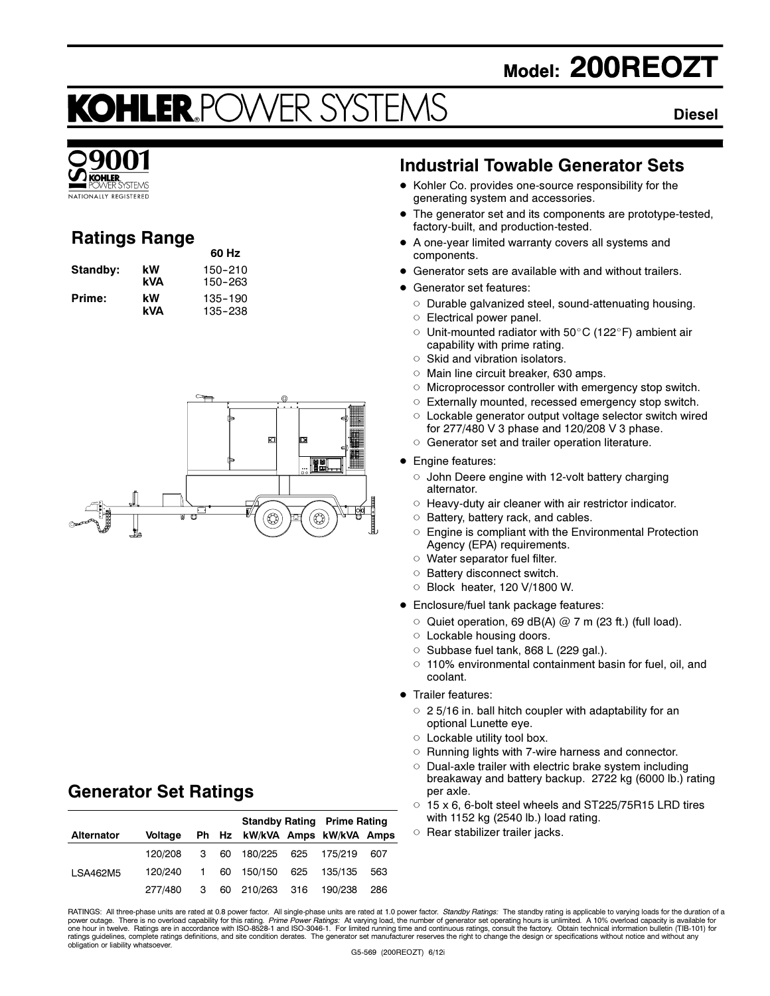# Model: 200REOZT

# KOHLER.POWER SYSTE

#### **Diesel** Diesel



# Ratings Range

| Standby: | kW  | 150-210 |
|----------|-----|---------|
|          | kVA | 150–263 |
| Prime:   | kW  | 135-190 |
|          | kVA | 135-238 |



60 Hz

# Generator Set Ratings

|                   |         |  |                               | <b>Standby Rating Prime Rating</b> |     |
|-------------------|---------|--|-------------------------------|------------------------------------|-----|
| <b>Alternator</b> | Voltage |  | Ph Hz kW/kVA Amps kW/kVA Amps |                                    |     |
|                   | 120/208 |  | 3 60 180/225 625 175/219      |                                    | 607 |
| LSA462M5          | 120/240 |  | 1 60 150/150 625 135/135      |                                    | 563 |
|                   | 277/480 |  | 3 60 210/263 316 190/238      |                                    | 286 |

### Industrial Towable Generator Sets

- Kohler Co. provides one-source responsibility for the generating system and accessories.
- The generator set and its components are prototype-tested, factory-built, and production-tested.
- - A one-year limited warranty covers all systems and components.
- -Generator sets are available with and without trailers.
- **·** Generator set features:
	- $\circ$  Durable galvanized steel, sound-attenuating housing.
	- Electrical power panel.
	- $\circ$ Unit-mounted radiator with  $50^{\circ}$ C (122 $^{\circ}$ F) ambient air capability with prime rating.
	- $\circ$  Skid and vibration isolators.
	- o Main line circuit breaker, 630 amps.
	- Microprocessor controller with emergency stop switch.
	- Externally mounted, recessed emergency stop switch.
	- Lockable generator output voltage selector switch wired for 277/480 V 3 phase and 120/208 V 3 phase.
	- Generator set and trailer operation literature.
- Engine features:
	- o John Deere engine with 12-volt battery charging alternator.
	- $\circ$  Heavy-duty air cleaner with air restrictor indicator.
	- **Battery, battery rack, and cables.**
	- $\circ$  Engine is compliant with the Environmental Protection Agency (EPA) requirements.
	- Water separator fuel filter.
	- Battery disconnect switch.
	- Block heater, 120 V/1800 W.
- Enclosure/fuel tank package features:
	- Quiet operation, 69 dB(A)  $@ 7 m$  (23 ft.) (full load).
	- Lockable housing doors.
	- $\circ$  Subbase fuel tank, 868 L (229 gal.).
	- $\circ$  110% environmental containment basin for fuel, oil, and coolant.
- **•** Trailer features:
	- $\circ$  25/16 in. ball hitch coupler with adaptability for an optional Lunette eye.
	- Lockable utility tool box.
	- $\circ$  Running lights with 7-wire harness and connector.
	- Dual-axle trailer with electric brake system including breakaway and battery backup. 2722 kg (6000 lb.) rating per axle.
	- $\circ$  15 x 6, 6-bolt steel wheels and ST225/75R15 LRD tires with 1152 kg (2540 lb.) load rating.
	- $\circ$  Rear stabilizer trailer jacks.

RATINGS: All three-phase units are rated at 0.8 power factor. All single-phase units are rated at 1.0 power factor. *Standby Ratings*: The standby rating is applicable to varying loads for the duration of a<br>power outage. T obligation or liability whatsoever.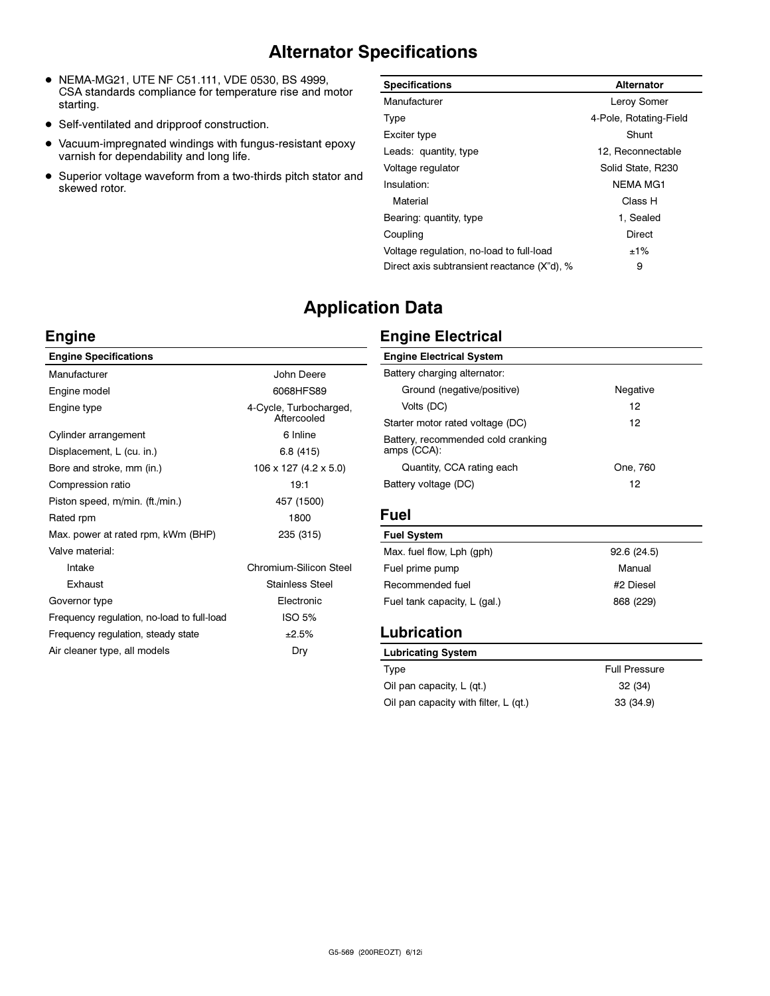# Alternator Specifications

- NEMA-MG21, UTE NF C51.111, VDE 0530, BS 4999, CSA standards compliance for temperature rise and motor starting.
- Self-ventilated and dripproof construction.
- $\bullet$  Vacuum-impregnated windings with fungus-resistant epoxy varnish for dependability and long life.
- Superior voltage waveform from a two-thirds pitch stator and skewed rotor.

| <b>Specifications</b>                       | Alternator             |
|---------------------------------------------|------------------------|
| Manufacturer                                | Leroy Somer            |
| Type                                        | 4-Pole, Rotating-Field |
| Exciter type                                | Shunt                  |
| Leads: quantity, type                       | 12, Reconnectable      |
| Voltage regulator                           | Solid State, R230      |
| Insulation:                                 | <b>NEMA MG1</b>        |
| Material                                    | Class H                |
| Bearing: quantity, type                     | 1. Sealed              |
| Coupling                                    | Direct                 |
| Voltage regulation, no-load to full-load    | $±1\%$                 |
| Direct axis subtransient reactance (X"d), % | 9                      |

# Application Data

#### Engine

| <b>Engine Specifications</b>               |                                       |
|--------------------------------------------|---------------------------------------|
| Manufacturer                               | John Deere                            |
| Engine model                               | 6068HFS89                             |
| Engine type                                | 4-Cycle, Turbocharged,<br>Aftercooled |
| Cylinder arrangement                       | 6 Inline                              |
| Displacement, L (cu. in.)                  | 6.8(415)                              |
| Bore and stroke, mm (in.)                  | 106 x 127 (4.2 x 5.0)                 |
| Compression ratio                          | 19:1                                  |
| Piston speed, m/min. (ft./min.)            | 457 (1500)                            |
| Rated rpm                                  | 1800                                  |
| Max. power at rated rpm, kWm (BHP)         | 235 (315)                             |
| Valve material:                            |                                       |
| Intake                                     | Chromium-Silicon Steel                |
| <b>Exhaust</b>                             | Stainless Steel                       |
| Governor type                              | Electronic                            |
| Frequency regulation, no-load to full-load | ISO 5%                                |
| Frequency regulation, steady state         | ±2.5%                                 |
| Air cleaner type, all models               | Dry                                   |

#### Engine Electrical

| <b>Engine Electrical System</b>                   |          |
|---------------------------------------------------|----------|
| Battery charging alternator:                      |          |
| Ground (negative/positive)                        | Negative |
| Volts (DC)                                        | 12       |
| Starter motor rated voltage (DC)                  | 12       |
| Battery, recommended cold cranking<br>amps (CCA): |          |
| Quantity, CCA rating each                         | One, 760 |
| Battery voltage (DC)                              | 12       |

| <b>Fuel System</b>           |            |
|------------------------------|------------|
| Max. fuel flow, Lph (qph)    | 92.6(24.5) |
| Fuel prime pump              | Manual     |
| Recommended fuel             | #2 Diesel  |
| Fuel tank capacity, L (gal.) | 868 (229)  |
|                              |            |

# Lubrication Syst

| <b>Full Pressure</b> |
|----------------------|
| 32 (34)              |
| 33 (34.9)            |
|                      |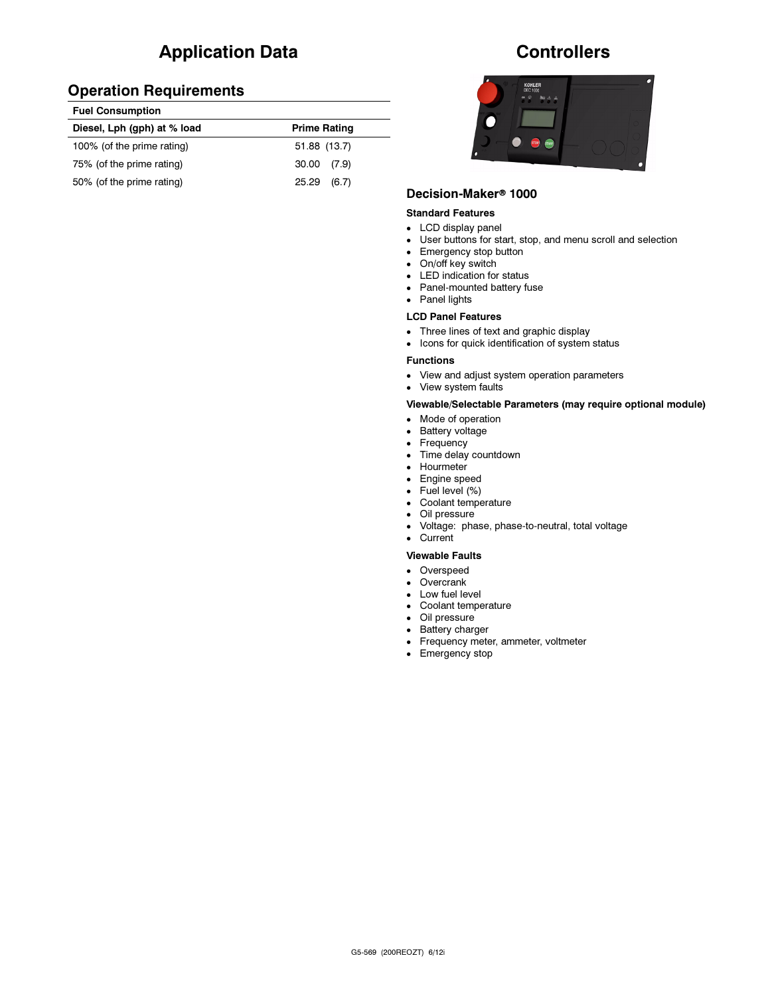# Application Data

| <b>Fuel Consumption</b>     |                     |  |
|-----------------------------|---------------------|--|
| Diesel, Lph (gph) at % load | <b>Prime Rating</b> |  |
| 100% (of the prime rating)  | 51.88 (13.7)        |  |
| 75% (of the prime rating)   | $30.00$ $(7.9)$     |  |
| 50% (of the prime rating)   | 25.29<br>(6.7)      |  |

## **Controllers**



# Decision-Maker<sup>®</sup> 1000

#### Standard Features

- LCD display panel
- User buttons for start, stop, and menu scroll and selection
- Emergency stop button
- On/off key switch
- LED indication for status
- Panel-mounted battery fuse
- Panel lights

#### LCD Panel Features

- Three lines of text and graphic display
- Icons for quick identification of system status

#### Functions

- $\bullet$ View and adjust system operation parameters
- View system faults

#### Viewable/Selectable Parameters (may require optional module)

- Mode of operation
- Battery voltage
- Frequency
- Time delay countdown
- Hourmeter
- Engine speed
- Fuel level (%)
- Coolant temperature
- Oil pressure
- Voltage: phase, phase-to-neutral, total voltage

# - Current

#### Viewable Faults

- Overspeed
- Overcrank
- Low fuel level
- Coolant temperature
- Oil pressure
- Battery charger
- Frequency meter, ammeter, voltmeter
- Emergency stop